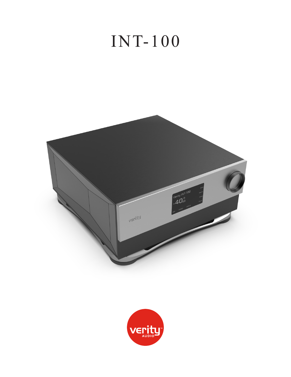# INT-100



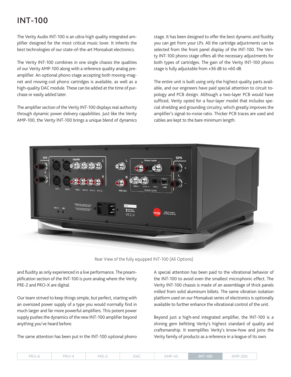## INT-100

The Verity Audio INT-100 is an ultra-high quality integrated amplifier designed for the most critical music lover. It inherits the best technologies of our state-of-the-art Monsalvat electronics.

The Verity INT-100 combines in one single chassis the qualities of our Verity AMP-100 along with a reference quality analog preamplifier. An optional phono stage accepting both moving-magnet and moving-coil phono cartridges is available, as well as a high-quality DAC module. These can be added at the time of purchase or easily added later.

The amplifier section of the Verity INT-100 displays real authority through dynamic power delivery capabilities. Just like the Verity AMP-100, the Verity INT-100 brings a unique blend of dynamics

stage. It has been designed to offer the best dynamic and fluidity you can get from your LPs. All the cartridge adjustments can be selected from the front panel display of the INT-100. The Verity INT-100 phono stage offers all the necessary adjustments for both types of cartridges. The gain of the Verity INT-100 phono stage is fully adjustable from +36 dB to +60 dB.

The entire unit is built using only the highest-quality parts available, and our engineers have paid special attention to circuit topology and PCB design. Although a two-layer PCB would have sufficed, Verity opted for a four-layer model that includes special shielding and grounding circuitry, which greatly improves the amplifier's signal-to-noise ratio. Thicker PCB traces are used and cables are kept to the bare minimum length.



Rear View of the fully equipped INT-100 (All Options)

and fluidity as only experienced in a live performance. The preamplification section of the INT-100 is pure analog where the Verity PRE-2 and PRO-X are digital.

Our team strived to keep things simple, but perfect, starting with an oversized power supply of a type you would normally find in much larger and far more powerful amplifiers. This potent power supply pushes the dynamics of the new INT-100 amplifier beyond anything you've heard before.

The same attention has been put in the INT-100 optional phono

A special attention has been paid to the vibrational behavior of the INT-100 to avoid even the smallest microphonic effect. The Verity INT-100 chassis is made of an assemblage of thick panels milled from solid aluminum billets. The same vibration isolation platform used on our Monsalvat series of electronics is optionally available to further enhance the vibrational control of the unit.

Beyond just a high-end integrated amplifier, the INT-100 is a shining gem befitting Verity's highest standard of quality and craftsmanship. It exemplifies Verity's know-how and joins the Verity family of products as a reference in a league of its own.

| PRO-6 | PRC. | PRE-2 | <b>DAC</b> | $AMP-45$ | <b>INT-100</b> | <b>AMP-200</b> |
|-------|------|-------|------------|----------|----------------|----------------|
|-------|------|-------|------------|----------|----------------|----------------|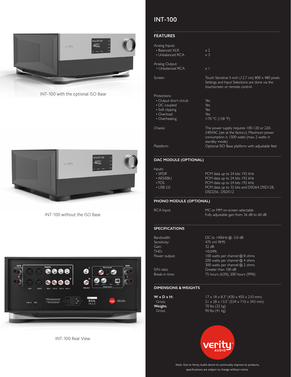

INT-100 with the optional ISO Base



INT-100 without the ISO Base



INT-100 Rear View

### INT-100

#### **FEATURES**

| Analog Inputs:<br>• Balanced XLR<br>• Unbalanced RCA | $\times$ 2<br>$\times$ 3                                 |
|------------------------------------------------------|----------------------------------------------------------|
| Analog Output:<br>• Unbalanced RCA                   | $\times$ 1                                               |
| Screen:                                              | Touch Sensitive 5-inch (12.7 cm) $800 \times 480$ pixels |

|                                                                                                         | touchscreen or remote control.              |
|---------------------------------------------------------------------------------------------------------|---------------------------------------------|
| Protections<br>• Output short circuit<br>• DC coupled<br>· Soft clipping<br>• Overload<br>• Overheating | Yes<br>Yes<br>Yes<br>Yes<br>>70 °C (158 °F) |
| Chassis                                                                                                 | The power supply requires 100-120 or 220-   |

240VAC (set at the factory). Maximum power consumption is 1500 watts (max. 2 watts in standby mode) Plateform **Optional ISO** Base platform with adjustable feet

Settings and Input Selections are done via the

#### **DAC MODULE (OPTIONAL)**

| Inputs:         |                                           |
|-----------------|-------------------------------------------|
| $\cdot$ SPDIF   | PCM data up to 24 bits 192 kHz            |
| $\cdot$ AFS/FRU | PCM data up to 24 bits 192 kHz            |
| $\cdot$ TOS     | PCM data up to 24 bits 192 kHz            |
| $\cdot$ USB 2.0 | PCM data up to 32 bits and DSD64, DSD128, |
|                 | DSD256.DSD512                             |

#### **PHONO MODULE (OPTIONAL)**

RCA Input: MC or MM on-screen selectable Fully adjustable gain from 36 dB to 60 dB

#### **SPECIFICATIONS**

| Bandwidth:     | DC to $140kHz$ $@.3.0 dB$       |
|----------------|---------------------------------|
| Sensitivity:   | 475 mV RMS                      |
| Gain:          | 32 dB                           |
| THD:           | < 0.04%                         |
| Power output:  | 100 watts per channel @ 8 ohms  |
|                | 200 watts per channel @ 4 ohms  |
|                | 300 watts per channel @ 2 ohms  |
| $S/N$ ratio:   | Greater than 100 dB             |
| Break-in time: | 75 hours (63%), 200 hours (99%) |
|                |                                 |

#### **DIMENSIONS & WEIGHTS**

**W x D x H:** 17 x 18 x 8.3" (430 x 450 x 210 mm) Gross: 21 x 28 x 13.5" (534 x 710 x 343 mm) **Weight:** 70 lbs (32 kg)<br>Gross: 90 lbs (41 kg) 90 lbs  $(41 \text{ kg})$ 



Note: Due to Verity Audio desire to continually improve its products, specifications are subject to change without notice.